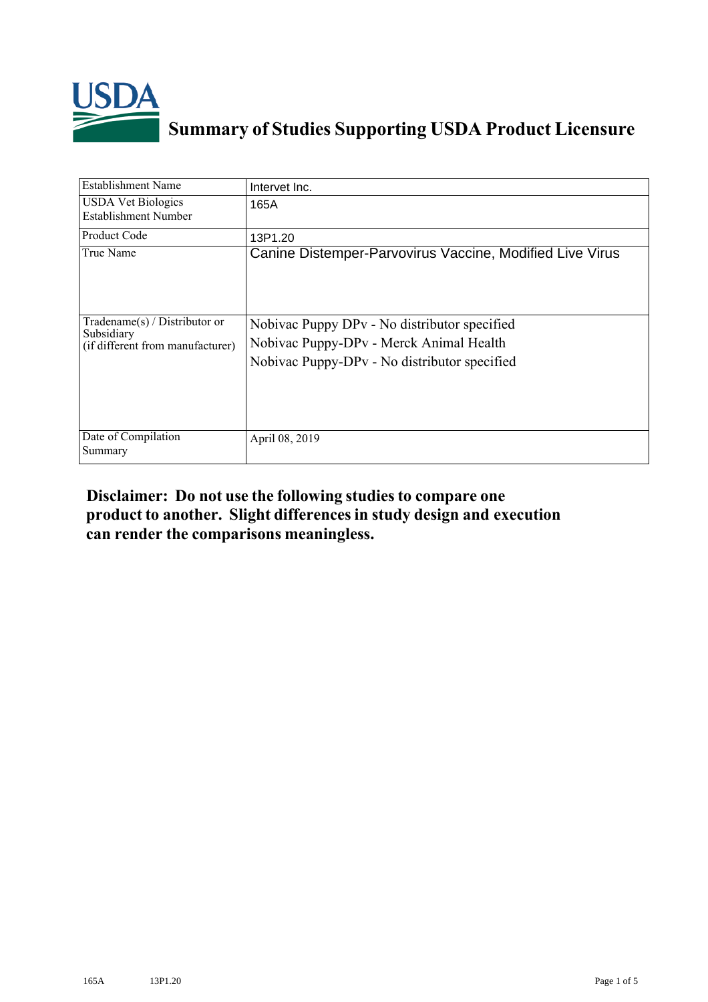

## **Summary of Studies Supporting USDA Product Licensure**

| <b>Establishment Name</b>                                                       | Intervet Inc.                                                                                                                           |
|---------------------------------------------------------------------------------|-----------------------------------------------------------------------------------------------------------------------------------------|
| <b>USDA Vet Biologics</b><br>Establishment Number                               | 165A                                                                                                                                    |
| Product Code                                                                    | 13P1.20                                                                                                                                 |
| True Name                                                                       | Canine Distemper-Parvovirus Vaccine, Modified Live Virus                                                                                |
| Tradename(s) / Distributor or<br>Subsidiary<br>(if different from manufacturer) | Nobivac Puppy DPv - No distributor specified<br>Nobivac Puppy-DPv - Merck Animal Health<br>Nobivac Puppy-DPv - No distributor specified |
| Date of Compilation<br>Summary                                                  | April 08, 2019                                                                                                                          |

## **Disclaimer: Do not use the following studiesto compare one product to another. Slight differencesin study design and execution can render the comparisons meaningless.**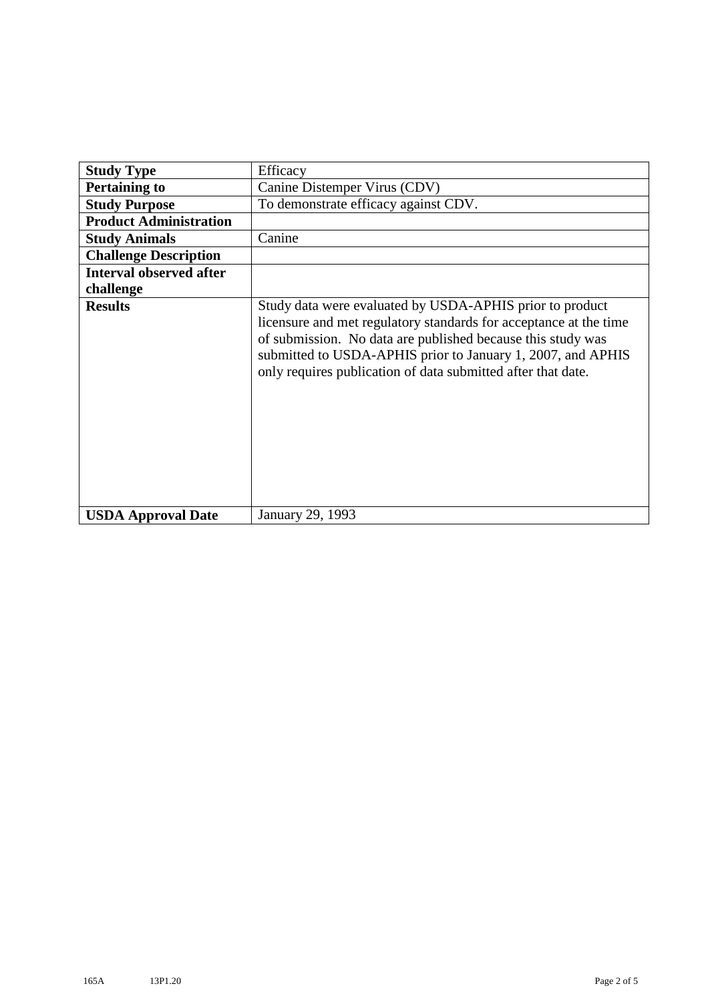| <b>Study Type</b>              | Efficacy                                                                                                                                                                                                                                                                                                                    |
|--------------------------------|-----------------------------------------------------------------------------------------------------------------------------------------------------------------------------------------------------------------------------------------------------------------------------------------------------------------------------|
| <b>Pertaining to</b>           | Canine Distemper Virus (CDV)                                                                                                                                                                                                                                                                                                |
| <b>Study Purpose</b>           | To demonstrate efficacy against CDV.                                                                                                                                                                                                                                                                                        |
| <b>Product Administration</b>  |                                                                                                                                                                                                                                                                                                                             |
| <b>Study Animals</b>           | Canine                                                                                                                                                                                                                                                                                                                      |
| <b>Challenge Description</b>   |                                                                                                                                                                                                                                                                                                                             |
| <b>Interval observed after</b> |                                                                                                                                                                                                                                                                                                                             |
| challenge                      |                                                                                                                                                                                                                                                                                                                             |
| <b>Results</b>                 | Study data were evaluated by USDA-APHIS prior to product<br>licensure and met regulatory standards for acceptance at the time<br>of submission. No data are published because this study was<br>submitted to USDA-APHIS prior to January 1, 2007, and APHIS<br>only requires publication of data submitted after that date. |
| <b>USDA Approval Date</b>      | January 29, 1993                                                                                                                                                                                                                                                                                                            |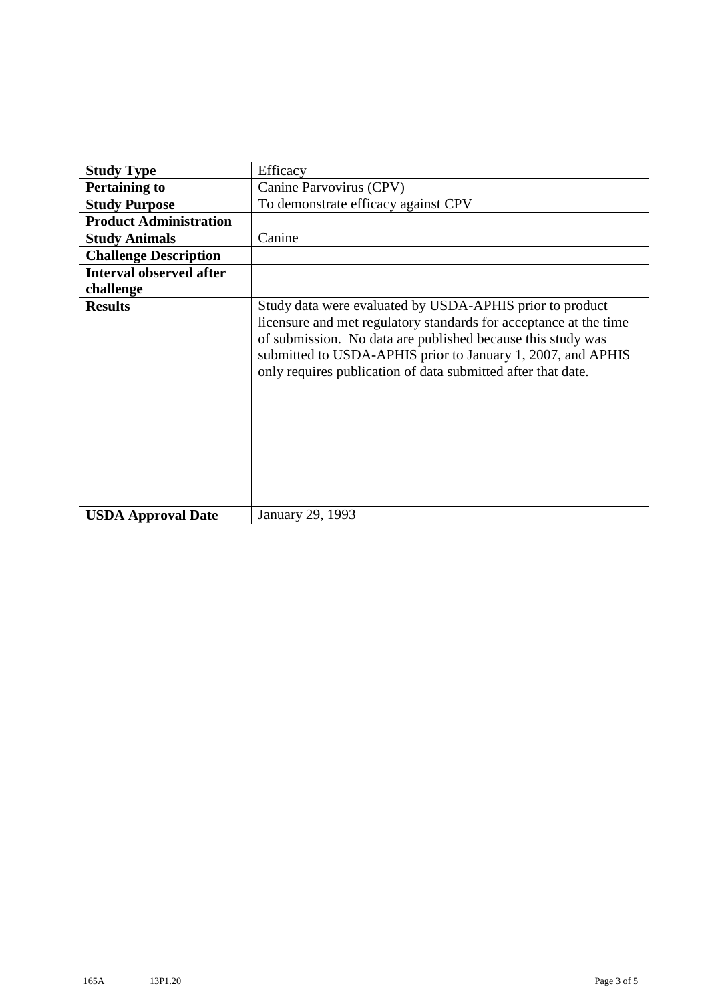| <b>Study Type</b>              | Efficacy                                                                                                                                                                                                                                                                                                                    |
|--------------------------------|-----------------------------------------------------------------------------------------------------------------------------------------------------------------------------------------------------------------------------------------------------------------------------------------------------------------------------|
| <b>Pertaining to</b>           | Canine Parvovirus (CPV)                                                                                                                                                                                                                                                                                                     |
| <b>Study Purpose</b>           | To demonstrate efficacy against CPV                                                                                                                                                                                                                                                                                         |
| <b>Product Administration</b>  |                                                                                                                                                                                                                                                                                                                             |
| <b>Study Animals</b>           | Canine                                                                                                                                                                                                                                                                                                                      |
| <b>Challenge Description</b>   |                                                                                                                                                                                                                                                                                                                             |
| <b>Interval observed after</b> |                                                                                                                                                                                                                                                                                                                             |
| challenge                      |                                                                                                                                                                                                                                                                                                                             |
| <b>Results</b>                 | Study data were evaluated by USDA-APHIS prior to product<br>licensure and met regulatory standards for acceptance at the time<br>of submission. No data are published because this study was<br>submitted to USDA-APHIS prior to January 1, 2007, and APHIS<br>only requires publication of data submitted after that date. |
| <b>USDA Approval Date</b>      | January 29, 1993                                                                                                                                                                                                                                                                                                            |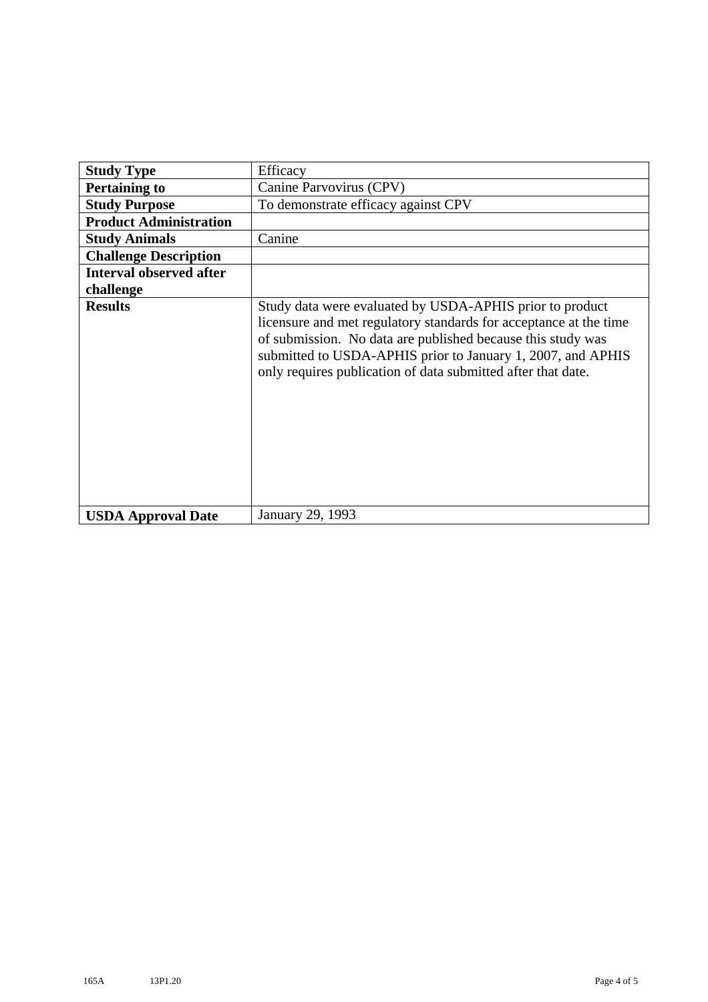| <b>Study Type</b>              | Efficacy                                                                                                                                                                                                                                                                                                                    |
|--------------------------------|-----------------------------------------------------------------------------------------------------------------------------------------------------------------------------------------------------------------------------------------------------------------------------------------------------------------------------|
| <b>Pertaining to</b>           | Canine Parvovirus (CPV)                                                                                                                                                                                                                                                                                                     |
| <b>Study Purpose</b>           | To demonstrate efficacy against CPV                                                                                                                                                                                                                                                                                         |
| <b>Product Administration</b>  |                                                                                                                                                                                                                                                                                                                             |
| <b>Study Animals</b>           | Canine                                                                                                                                                                                                                                                                                                                      |
| <b>Challenge Description</b>   |                                                                                                                                                                                                                                                                                                                             |
| <b>Interval observed after</b> |                                                                                                                                                                                                                                                                                                                             |
| challenge                      |                                                                                                                                                                                                                                                                                                                             |
| <b>Results</b>                 | Study data were evaluated by USDA-APHIS prior to product<br>licensure and met regulatory standards for acceptance at the time<br>of submission. No data are published because this study was<br>submitted to USDA-APHIS prior to January 1, 2007, and APHIS<br>only requires publication of data submitted after that date. |
| <b>USDA Approval Date</b>      | January 29, 1993                                                                                                                                                                                                                                                                                                            |